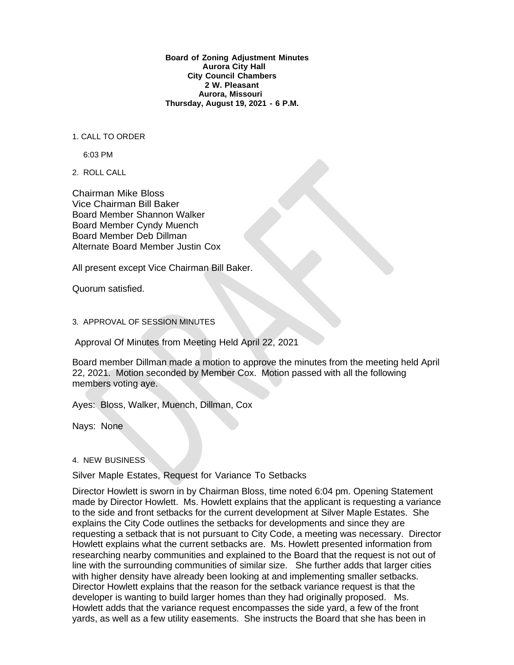**Board of Zoning Adjustment Minutes Aurora City Hall City Council Chambers 2 W. Pleasant Aurora, Missouri Thursday, August 19, 2021 - 6 P.M.**

1. CALL TO ORDER

6:03 PM

2. ROLL CALL

Chairman Mike Bloss Vice Chairman Bill Baker Board Member Shannon Walker Board Member Cyndy Muench Board Member Deb Dillman Alternate Board Member Justin Cox

All present except Vice Chairman Bill Baker.

Quorum satisfied.

3. APPROVAL OF SESSION MINUTES

Approval Of Minutes from Meeting Held April 22, 2021

Board member Dillman made a motion to approve the minutes from the meeting held April 22, 2021. Motion seconded by Member Cox. Motion passed with all the following members voting aye.

Ayes: Bloss, Walker, Muench, Dillman, Cox

Nays: None

## 4. NEW BUSINESS

Silver Maple Estates, Request for Variance To Setbacks

Director Howlett is sworn in by Chairman Bloss, time noted 6:04 pm. Opening Statement made by Director Howlett. Ms. Howlett explains that the applicant is requesting a variance to the side and front setbacks for the current development at Silver Maple Estates. She explains the City Code outlines the setbacks for developments and since they are requesting a setback that is not pursuant to City Code, a meeting was necessary. Director Howlett explains what the current setbacks are. Ms. Howlett presented information from researching nearby communities and explained to the Board that the request is not out of line with the surrounding communities of similar size. She further adds that larger cities with higher density have already been looking at and implementing smaller setbacks. Director Howlett explains that the reason for the setback variance request is that the developer is wanting to build larger homes than they had originally proposed. Ms. Howlett adds that the variance request encompasses the side yard, a few of the front yards, as well as a few utility easements. She instructs the Board that she has been in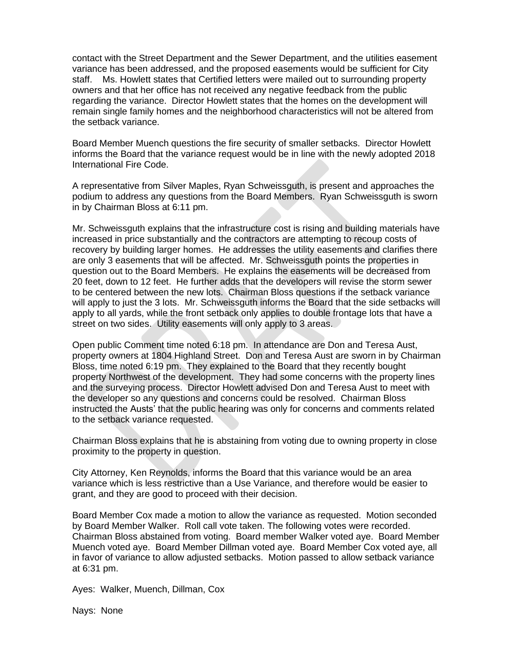contact with the Street Department and the Sewer Department, and the utilities easement variance has been addressed, and the proposed easements would be sufficient for City staff. Ms. Howlett states that Certified letters were mailed out to surrounding property owners and that her office has not received any negative feedback from the public regarding the variance. Director Howlett states that the homes on the development will remain single family homes and the neighborhood characteristics will not be altered from the setback variance.

Board Member Muench questions the fire security of smaller setbacks. Director Howlett informs the Board that the variance request would be in line with the newly adopted 2018 International Fire Code.

A representative from Silver Maples, Ryan Schweissguth, is present and approaches the podium to address any questions from the Board Members. Ryan Schweissguth is sworn in by Chairman Bloss at 6:11 pm.

Mr. Schweissguth explains that the infrastructure cost is rising and building materials have increased in price substantially and the contractors are attempting to recoup costs of recovery by building larger homes. He addresses the utility easements and clarifies there are only 3 easements that will be affected. Mr. Schweissguth points the properties in question out to the Board Members. He explains the easements will be decreased from 20 feet, down to 12 feet. He further adds that the developers will revise the storm sewer to be centered between the new lots. Chairman Bloss questions if the setback variance will apply to just the 3 lots. Mr. Schweissguth informs the Board that the side setbacks will apply to all yards, while the front setback only applies to double frontage lots that have a street on two sides. Utility easements will only apply to 3 areas.

Open public Comment time noted 6:18 pm. In attendance are Don and Teresa Aust, property owners at 1804 Highland Street. Don and Teresa Aust are sworn in by Chairman Bloss, time noted 6:19 pm. They explained to the Board that they recently bought property Northwest of the development. They had some concerns with the property lines and the surveying process. Director Howlett advised Don and Teresa Aust to meet with the developer so any questions and concerns could be resolved. Chairman Bloss instructed the Austs' that the public hearing was only for concerns and comments related to the setback variance requested.

Chairman Bloss explains that he is abstaining from voting due to owning property in close proximity to the property in question.

City Attorney, Ken Reynolds, informs the Board that this variance would be an area variance which is less restrictive than a Use Variance, and therefore would be easier to grant, and they are good to proceed with their decision.

Board Member Cox made a motion to allow the variance as requested. Motion seconded by Board Member Walker. Roll call vote taken. The following votes were recorded. Chairman Bloss abstained from voting. Board member Walker voted aye. Board Member Muench voted aye. Board Member Dillman voted aye. Board Member Cox voted aye, all in favor of variance to allow adjusted setbacks. Motion passed to allow setback variance at 6:31 pm.

Ayes: Walker, Muench, Dillman, Cox

Nays: None